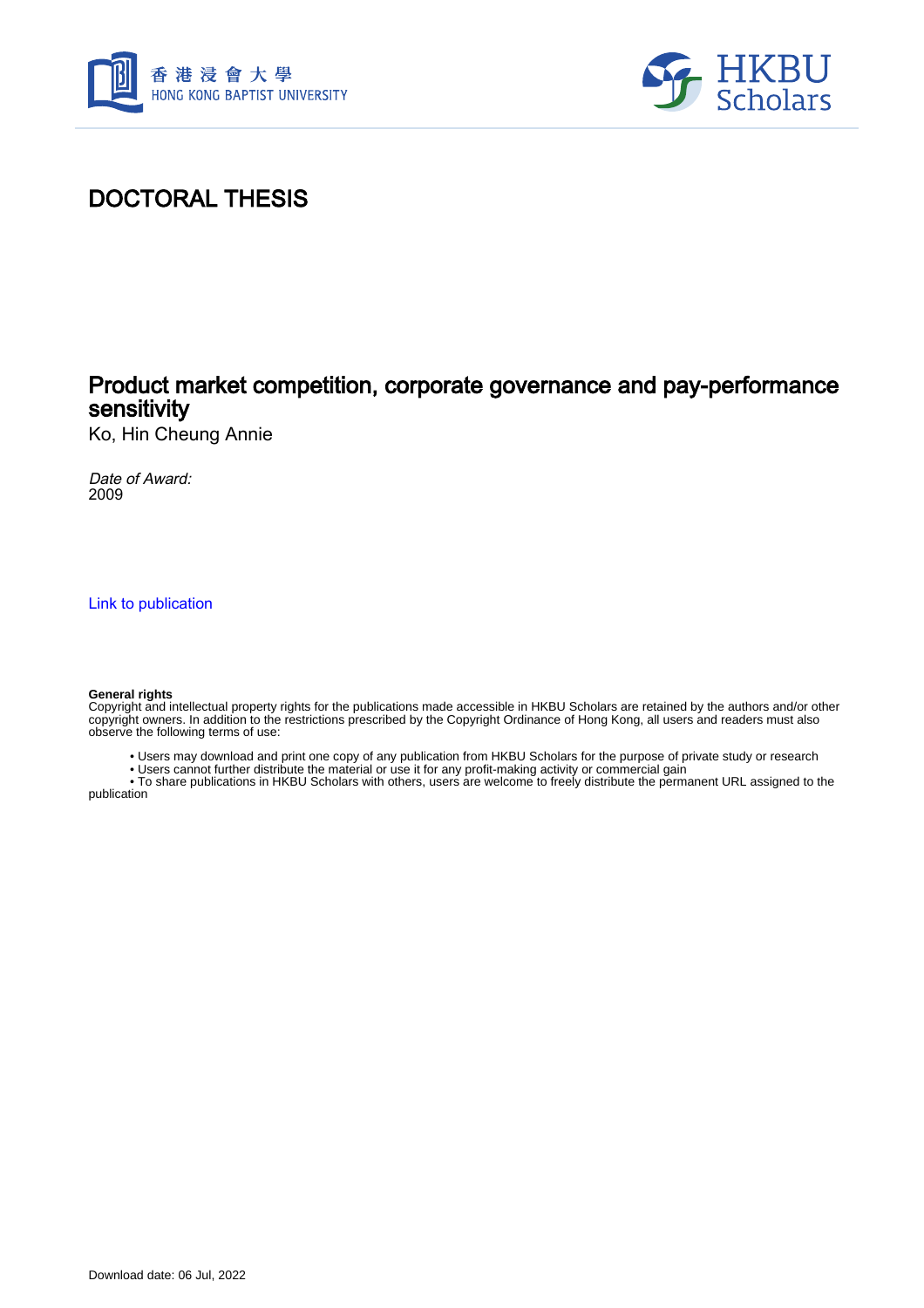



# DOCTORAL THESIS

## Product market competition, corporate governance and pay-performance sensitivity

Ko, Hin Cheung Annie

Date of Award: 2009

[Link to publication](https://scholars.hkbu.edu.hk/en/studentTheses/0bd58182-b286-4a2c-90b2-c48ab86c4f90)

#### **General rights**

Copyright and intellectual property rights for the publications made accessible in HKBU Scholars are retained by the authors and/or other copyright owners. In addition to the restrictions prescribed by the Copyright Ordinance of Hong Kong, all users and readers must also observe the following terms of use:

- Users may download and print one copy of any publication from HKBU Scholars for the purpose of private study or research
- Users cannot further distribute the material or use it for any profit-making activity or commercial gain

 • To share publications in HKBU Scholars with others, users are welcome to freely distribute the permanent URL assigned to the publication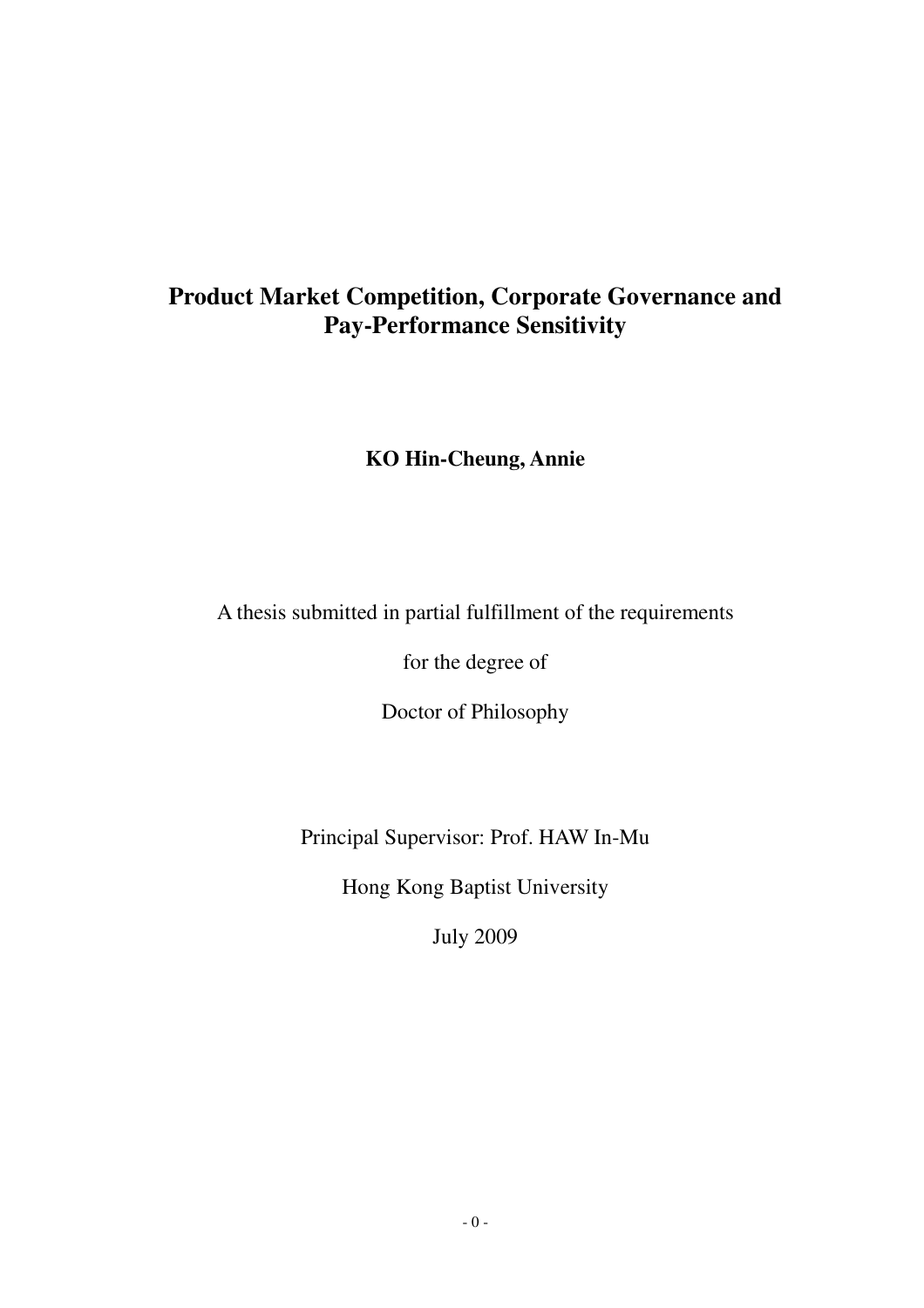# **Product Market Competition, Corporate Governance and Pay-Performance Sensitivity**

### **KO Hin-Cheung, Annie**

## A thesis submitted in partial fulfillment of the requirements

for the degree of

Doctor of Philosophy

Principal Supervisor: Prof. HAW In-Mu

Hong Kong Baptist University

July 2009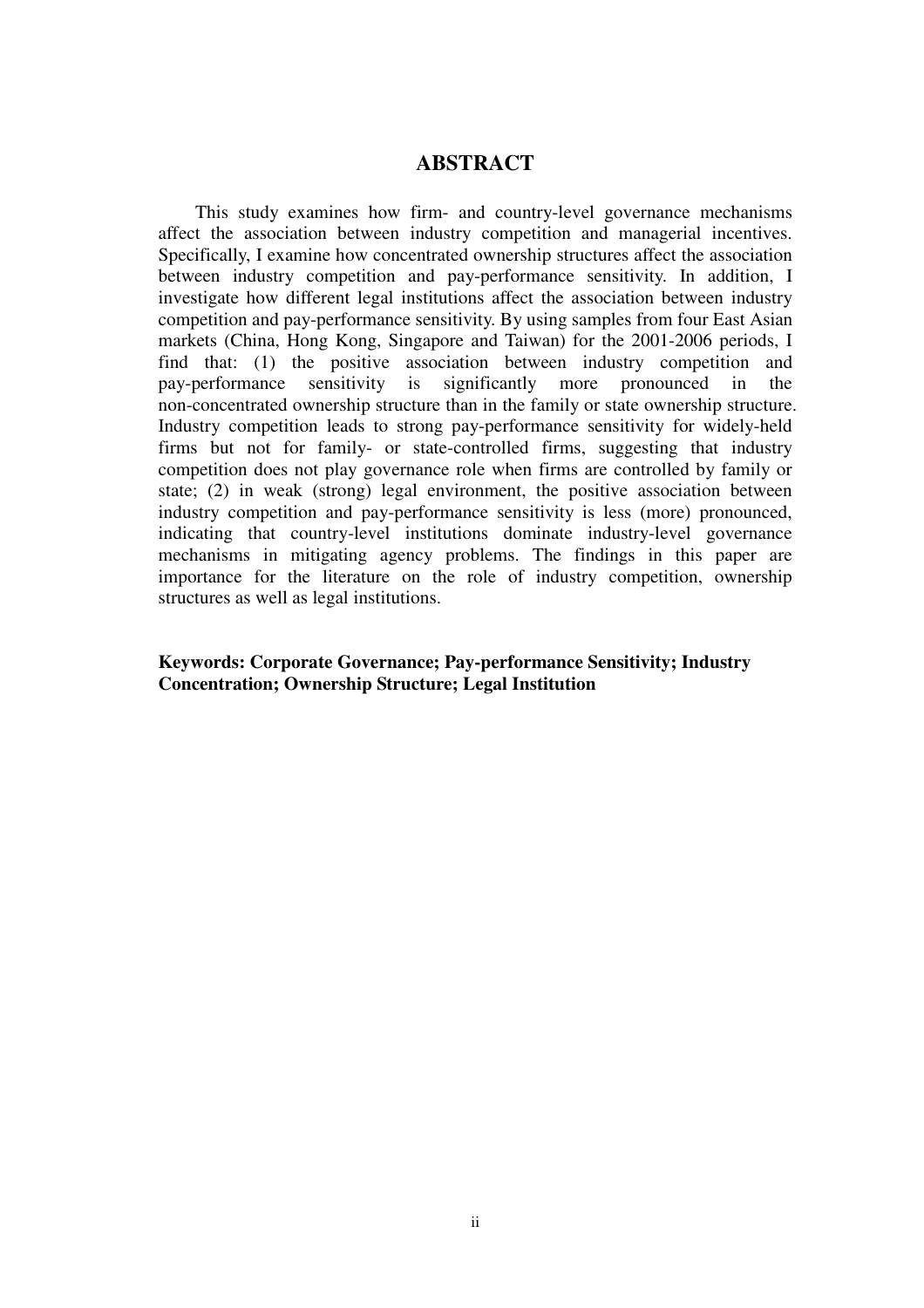#### **ABSTRACT**

This study examines how firm- and country-level governance mechanisms affect the association between industry competition and managerial incentives. Specifically, I examine how concentrated ownership structures affect the association between industry competition and pay-performance sensitivity. In addition, I investigate how different legal institutions affect the association between industry competition and pay-performance sensitivity. By using samples from four East Asian markets (China, Hong Kong, Singapore and Taiwan) for the 2001-2006 periods, I find that: (1) the positive association between industry competition and pay-performance sensitivity is significantly more pronounced in the non-concentrated ownership structure than in the family or state ownership structure. Industry competition leads to strong pay-performance sensitivity for widely-held firms but not for family- or state-controlled firms, suggesting that industry competition does not play governance role when firms are controlled by family or state; (2) in weak (strong) legal environment, the positive association between industry competition and pay-performance sensitivity is less (more) pronounced, indicating that country-level institutions dominate industry-level governance mechanisms in mitigating agency problems. The findings in this paper are importance for the literature on the role of industry competition, ownership structures as well as legal institutions.

#### **Keywords: Corporate Governance; Pay-performance Sensitivity; Industry Concentration; Ownership Structure; Legal Institution**